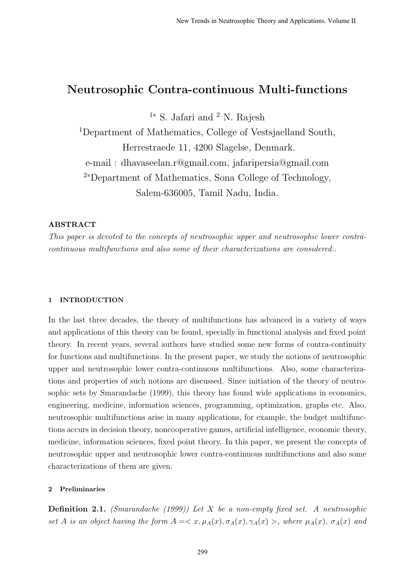# Neutrosophic Contra-continuous Multi-functions

 $1*$  S. Jafari and  $2$  N. Rajesh

<sup>1</sup>Department of Mathematics, College of Vestsjaelland South, Herrestraede 11, 4200 Slagelse, Denmark. e-mail : dhavaseelan.r@gmail.com, jafaripersia@gmail.com <sup>2</sup><sup>∗</sup>Department of Mathematics, Sona College of Technology, Salem-636005, Tamil Nadu, India.

## ABSTRACT

This paper is devoted to the concepts of neutrosophic upper and neutrosophic lower contracontinuous multifunctions and also some of their characterizations are considered..

#### 1 INTRODUCTION

In the last three decades, the theory of multifunctions has advanced in a variety of ways and applications of this theory can be found, specially in functional analysis and fixed point theory. In recent years, several authors have studied some new forms of contra-continuity for functions and multifunctions. In the present paper, we study the notions of neutrosophic upper and neutrosophic lower contra-continuous multifunctions. Also, some characterizations and properties of such notions are discussed. Since initiation of the theory of neutrosophic sets by Smarandache (1999), this theory has found wide applications in economics, engineering, medicine, information sciences, programming, optimization, graphs etc. Also, neutrosophic multifunctions arise in many applications, for example, the budget multifunctions accurs in decision theory, noncooperative games, artificial intelligence, economic theory, medicine, information sciences, fixed point theory. In this paper, we present the concepts of neutrosophic upper and neutrosophic lower contra-continuous multifunctions and also some characterizations of them are given.

### 2 Preliminaries

**Definition 2.1.** (Smarandache (1999)) Let X be a non-empty fixed set. A neutrosophic set A is an object having the form  $A = \langle x, \mu_A(x), \sigma_A(x), \gamma_A(x) \rangle$ , where  $\mu_A(x), \sigma_A(x)$  and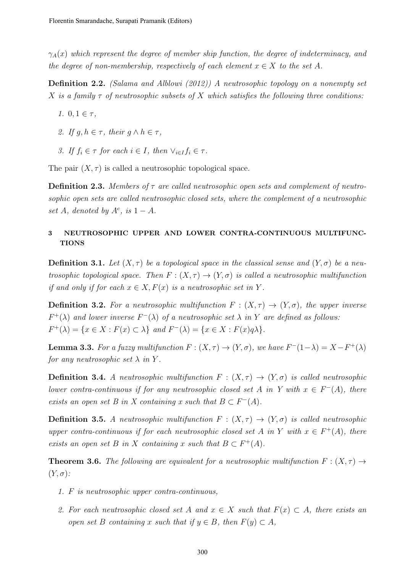$\gamma_A(x)$  which represent the degree of member ship function, the degree of indeterminacy, and the degree of non-membership, respectively of each element  $x \in X$  to the set A.

Definition 2.2. (Salama and Alblowi (2012)) A neutrosophic topology on a nonempty set X is a family  $\tau$  of neutrosophic subsets of X which satisfies the following three conditions:

- 1.  $0, 1 \in \tau$ ,
- 2. If  $g, h \in \tau$ , their  $g \wedge h \in \tau$ ,
- 3. If  $f_i \in \tau$  for each  $i \in I$ , then  $\vee_{i \in I} f_i \in \tau$ .

The pair  $(X, \tau)$  is called a neutrosophic topological space.

**Definition 2.3.** Members of  $\tau$  are called neutrosophic open sets and complement of neutrosophic open sets are called neutrosophic closed sets, where the complement of a neutrosophic set A, denoted by  $A^c$ , is  $1 - A$ .

## 3 NEUTROSOPHIC UPPER AND LOWER CONTRA-CONTINUOUS MULTIFUNC-**TIONS**

**Definition 3.1.** Let  $(X, \tau)$  be a topological space in the classical sense and  $(Y, \sigma)$  be a neutrosophic topological space. Then  $F: (X, \tau) \to (Y, \sigma)$  is called a neutrosophic multifunction if and only if for each  $x \in X, F(x)$  is a neutrosophic set in Y.

**Definition 3.2.** For a neutrosophic multifunction  $F : (X, \tau) \to (Y, \sigma)$ , the upper inverse  $F^+(\lambda)$  and lower inverse  $F^-(\lambda)$  of a neutrosophic set  $\lambda$  in Y are defined as follows:  $F^+(\lambda) = \{x \in X : F(x) \subset \lambda\}$  and  $F^-(\lambda) = \{x \in X : F(x)q\lambda\}.$ 

**Lemma 3.3.** For a fuzzy multifunction  $F: (X, \tau) \to (Y, \sigma)$ , we have  $F^-(1-\lambda) = X - F^+(\lambda)$ for any neutrosophic set  $\lambda$  in Y.

**Definition 3.4.** A neutrosophic multifunction  $F : (X, \tau) \to (Y, \sigma)$  is called neutrosophic lower contra-continuous if for any neutrosophic closed set A in Y with  $x \in F^{-}(A)$ , there exists an open set B in X containing x such that  $B \subset F^{-}(A)$ .

**Definition 3.5.** A neutrosophic multifunction  $F : (X, \tau) \to (Y, \sigma)$  is called neutrosophic upper contra-continuous if for each neutrosophic closed set A in Y with  $x \in F^+(A)$ , there exists an open set B in X containing x such that  $B \subset F^+(A)$ .

**Theorem 3.6.** The following are equivalent for a neutrosophic multifunction  $F : (X, \tau) \rightarrow$  $(Y, \sigma)$ :

- 1. F is neutrosophic upper contra-continuous,
- 2. For each neutrosophic closed set A and  $x \in X$  such that  $F(x) \subset A$ , there exists an open set B containing x such that if  $y \in B$ , then  $F(y) \subset A$ ,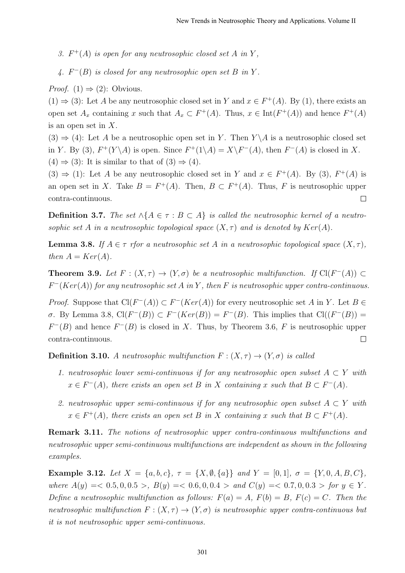- 3.  $F^+(A)$  is open for any neutrosophic closed set A in Y,
- 4.  $F^{-}(B)$  is closed for any neutrosophic open set B in Y.

*Proof.* (1)  $\Rightarrow$  (2): Obvious.

 $(1) \Rightarrow (3)$ : Let A be any neutrosophic closed set in Y and  $x \in F^+(A)$ . By (1), there exists an open set  $A_x$  containing x such that  $A_x \subset F^+(A)$ . Thus,  $x \in \text{Int}(F^+(A))$  and hence  $F^+(A)$ is an open set in X.

 $(3) \Rightarrow (4)$ : Let A be a neutrosophic open set in Y. Then Y \A is a neutrosophic closed set in Y. By (3),  $F^+(Y \setminus A)$  is open. Since  $F^+(1 \setminus A) = X \setminus F^-(A)$ , then  $F^-(A)$  is closed in X.  $(4) \Rightarrow (3)$ : It is similar to that of  $(3) \Rightarrow (4)$ .

 $(3) \Rightarrow (1)$ : Let A be any neutrosophic closed set in Y and  $x \in F^+(A)$ . By  $(3)$ ,  $F^+(A)$  is an open set in X. Take  $B = F^+(A)$ . Then,  $B \subset F^+(A)$ . Thus, F is neutrosophic upper contra-continuous.  $\Box$ 

**Definition 3.7.** The set ∧{ $A \in \tau : B \subset A$ } is called the neutrosophic kernel of a neutrosophic set A in a neutrosophic topological space  $(X, \tau)$  and is denoted by  $Ker(A)$ .

**Lemma 3.8.** If  $A \in \tau$  rfor a neutrosophic set A in a neutrosophic topological space  $(X, \tau)$ , then  $A = Ker(A)$ .

**Theorem 3.9.** Let  $F : (X, \tau) \to (Y, \sigma)$  be a neutrosophic multifunction. If  $Cl(F^{-}(A)) \subset$  $F^-(Ker(A))$  for any neutrosophic set A in Y, then F is neutrosophic upper contra-continuous.

*Proof.* Suppose that  $Cl(F^{-}(A)) \subset F^{-}(Ker(A))$  for every neutrosophic set A in Y. Let B  $\sigma$ . By Lemma 3.8, Cl(F<sup>-</sup>(B)) ⊂ F<sup>-</sup>(Ker(B)) = F<sup>-</sup>(B). This implies that Cl((F<sup>-</sup>(B)) =  $F^{-}(B)$  and hence  $F^{-}(B)$  is closed in X. Thus, by Theorem 3.6, F is neutrosophic upper contra-continuous.  $\Box$ 

**Definition 3.10.** A neutrosophic multifunction  $F: (X, \tau) \to (Y, \sigma)$  is called

- 1. neutrosophic lower semi-continuous if for any neutrosophic open subset  $A \subset Y$  with  $x \in F^{-}(A)$ , there exists an open set B in X containing x such that  $B \subset F^{-}(A)$ .
- 2. neutrosophic upper semi-continuous if for any neutrosophic open subset  $A \subset Y$  with  $x \in F^+(A)$ , there exists an open set B in X containing x such that  $B \subset F^+(A)$ .

Remark 3.11. The notions of neutrosophic upper contra-continuous multifunctions and neutrosophic upper semi-continuous multifunctions are independent as shown in the following examples.

Example 3.12. Let  $X = \{a, b, c\}, \tau = \{X, \emptyset, \{a\}\}$  and  $Y = [0, 1], \sigma = \{Y, 0, A, B, C\},\$ where  $A(y) = 0.5, 0, 0.5 >$ ,  $B(y) = 0.6, 0, 0.4 >$  and  $C(y) = 0.7, 0, 0.3 >$  for  $y \in Y$ . Define a neutrosophic multifunction as follows:  $F(a) = A$ ,  $F(b) = B$ ,  $F(c) = C$ . Then the neutrosophic multifunction  $F: (X, \tau) \to (Y, \sigma)$  is neutrosophic upper contra-continuous but it is not neutrosophic upper semi-continuous.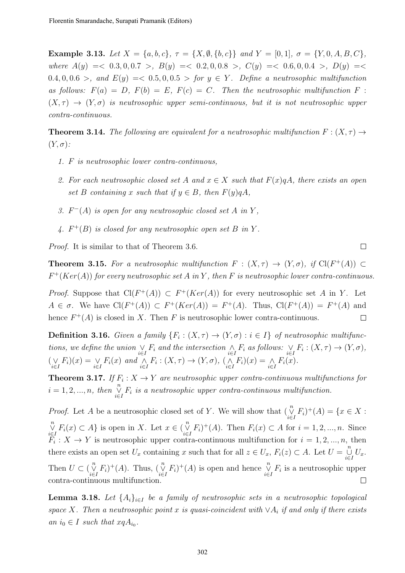Example 3.13. Let  $X = \{a, b, c\}$ ,  $\tau = \{X, \emptyset, \{b, c\}\}$  and  $Y = [0, 1]$ ,  $\sigma = \{Y, 0, A, B, C\}$ , where  $A(y) = 0.3, 0, 0.7 > B(y) = 0.2, 0, 0.8 > C(y) = 0.6, 0, 0.4 > D(y) = 0.6$ 0.4, 0, 0.6 >, and  $E(y) = 0.5$ , 0, 0.5 > for  $y \in Y$ . Define a neutrosophic multifunction as follows:  $F(a) = D$ ,  $F(b) = E$ ,  $F(c) = C$ . Then the neutrosophic multifunction F:  $(X, \tau) \rightarrow (Y, \sigma)$  is neutrosophic upper semi-continuous, but it is not neutrosophic upper contra-continuous.

**Theorem 3.14.** The following are equivalent for a neutrosophic multifunction  $F : (X, \tau) \rightarrow$  $(Y, \sigma)$ :

- 1. F is neutrosophic lower contra-continuous,
- 2. For each neutrosophic closed set A and  $x \in X$  such that  $F(x)qA$ , there exists an open set B containing x such that if  $y \in B$ , then  $F(y)qA$ ,
- 3.  $F^{-}(A)$  is open for any neutrosophic closed set A in Y,
- 4.  $F^+(B)$  is closed for any neutrosophic open set B in Y.

Proof. It is similar to that of Theorem 3.6.

**Theorem 3.15.** For a neutrosophic multifunction  $F : (X, \tau) \to (Y, \sigma)$ , if  $Cl(F^+(A)) \subset$  $F^+(Ker(A))$  for every neutrosophic set A in Y, then F is neutrosophic lower contra-continuous.

*Proof.* Suppose that  $Cl(F^+(A)) \subset F^+(Ker(A))$  for every neutrosophic set A in Y. Let  $A \in \sigma$ . We have  $Cl(F^+(A)) \subset F^+(Ker(A)) = F^+(A)$ . Thus,  $Cl(F^+(A)) = F^+(A)$  and hence  $F^+(A)$  is closed in X. Then F is neutrosophic lower contra-continuous.  $\Box$ 

**Definition 3.16.** Given a family  $\{F_i : (X, \tau) \to (Y, \sigma) : i \in I\}$  of neutrosophic multifunctions, we define the union  $\bigvee_{i\in I} F_i$  and the intersection  $\bigwedge_{i\in I} F_i$  as follows:  $\bigvee_{i\in I} F_i : (X,\tau) \to (Y,\sigma)$ ,  $(\bigvee_{i\in I} F_i)(x) = \bigvee_{i\in I} F_i(x)$  and  $\bigwedge_{i\in I} F_i : (X, \tau) \to (Y, \sigma), (\bigwedge_{i\in I} F_i)(x) = \bigwedge_{i\in I} F_i(x)$ .

**Theorem 3.17.** If  $F_i: X \to Y$  are neutrosophic upper contra-continuous multifunctions for  $i = 1, 2, ..., n$ , then  $\bigvee_{i \in I}^n F_i$  is a neutrosophic upper contra-continuous multifunction.

*Proof.* Let A be a neutrosophic closed set of Y. We will show that  $(\bigvee_{i \in I}^n F_i)^+(A) = \{x \in X :$  $\bigvee_{i\in I}^{n} F_i(x) \subset A$  is open in X. Let  $x \in \bigvee_{i\in I}^{n} F_i$  + (A). Then  $F_i(x) \subset A$  for  $i = 1, 2, ..., n$ . Since  $\overline{F}_i: X \to Y$  is neutrosophic upper contra-continuous multifunction for  $i = 1, 2, ..., n$ , then there exists an open set  $U_x$  containing x such that for all  $z \in U_x$ ,  $F_i(z) \subset A$ . Let  $U = \bigcup_{i \in I}^n U_x$ . Then  $U \subset (\bigvee_{i \in I}^n F_i)^+(A)$ . Thus,  $(\bigvee_{i \in I}^n F_i)^+(A)$  is open and hence  $\bigvee_{i \in I}^n F_i$  is a neutrosophic upper contra-continuous multifunction.  $\Box$ 

**Lemma 3.18.** Let  $\{A_i\}_{i\in I}$  be a family of neutrosophic sets in a neutrosophic topological space X. Then a neutrosophic point x is quasi-coincident with  $\vee A_i$  if and only if there exists an  $i_0 \in I$  such that  $xqA_{i_0}$ .

 $\Box$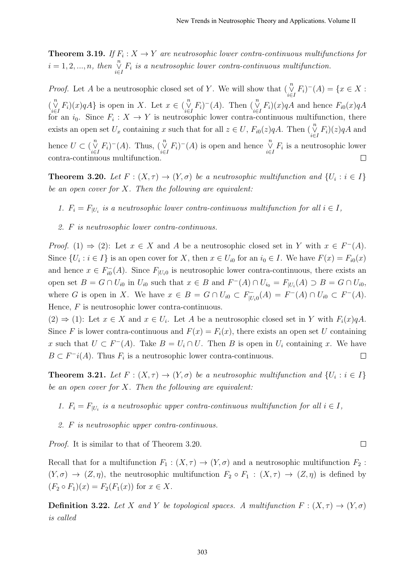**Theorem 3.19.** If  $F_i: X \to Y$  are neutrosophic lower contra-continuous multifunctions for  $i = 1, 2, ..., n$ , then  $\bigvee_{i \in I}^n F_i$  is a neutrosophic lower contra-continuous multifunction.

*Proof.* Let A be a neutrosophic closed set of Y. We will show that  $(\bigvee_{i \in I}^n F_i)^-(A) = \{x \in X :$  $\left(\bigvee_{i\in I}^{n} F_i\right)(x)qA\}$  is open in X. Let  $x \in \left(\bigvee_{i\in I}^{n} F_i\right)^-(A)$ . Then  $\left(\bigvee_{i\in I}^{n} F_i\right)(x)qA$  and hence  $F_{i0}(x)qA$ for an  $i_0$ . Since  $F_i: X \to Y$  is neutrosophic lower contra-continuous multifunction, there exists an open set  $U_x$  containing x such that for all  $z \in U$ ,  $F_{i0}(z)qA$ . Then  $\left(\bigvee_{i \in I}^n F_i\right)(z)qA$  and hence  $U \subset (\bigvee_{i\in I}^n F_i)^-(A)$ . Thus,  $(\bigvee_{i\in I}^n F_i)^-(A)$  is open and hence  $\bigvee_{i\in I}^n F_i$  is a neutrosophic lower contra-continuous multifunction.  $\Box$ 

**Theorem 3.20.** Let  $F: (X, \tau) \to (Y, \sigma)$  be a neutrosophic multifunction and  $\{U_i : i \in I\}$ be an open cover for  $X$ . Then the following are equivalent:

- 1.  $F_i = F_{|U_i}$  is a neutrosophic lower contra-continuous multifunction for all  $i \in I$ ,
- 2. F is neutrosophic lower contra-continuous.

*Proof.* (1)  $\Rightarrow$  (2): Let  $x \in X$  and A be a neutrosophic closed set in Y with  $x \in F^{-}(A)$ . Since  $\{U_i : i \in I\}$  is an open cover for X, then  $x \in U_{i0}$  for an  $i_0 \in I$ . We have  $F(x) = F_{i0}(x)$ and hence  $x \in F_{i0}^$  $i_{i0}^{-}(A)$ . Since  $F_{|U_i}$  is neutrosophic lower contra-continuous, there exists an open set  $B = G \cap U_{i0}$  in  $U_{i0}$  such that  $x \in B$  and  $F^{-}(A) \cap U_{i0} = F_{|U_i}(A) \supset B = G \cap U_{i0}$ , where G is open in X. We have  $x \in B = G \cap U_{i0} \subset F_{[U]}^ U_{|U_i0}(A) = F^{-}(A) \cap U_{i0} \subset F^{-}(A).$ Hence,  $F$  is neutrosophic lower contra-continuous.

 $(2) \Rightarrow (1)$ : Let  $x \in X$  and  $x \in U_i$ . Let A be a neutrosophic closed set in Y with  $F_i(x)qA$ . Since F is lower contra-continuous and  $F(x) = F_i(x)$ , there exists an open set U containing x such that  $U \subset F^{-}(A)$ . Take  $B = U_i \cap U$ . Then B is open in  $U_i$  containing x. We have  $B \subset F^{-i}(A)$ . Thus  $F_i$  is a neutrosophic lower contra-continuous.  $\Box$ 

**Theorem 3.21.** Let  $F : (X, \tau) \to (Y, \sigma)$  be a neutrosophic multifunction and  $\{U_i : i \in I\}$ be an open cover for  $X$ . Then the following are equivalent:

- 1.  $F_i = F_{|U_i}$  is a neutrosophic upper contra-continuous multifunction for all  $i \in I$ ,
- 2. F is neutrosophic upper contra-continuous.

Proof. It is similar to that of Theorem 3.20.

Recall that for a multifunction  $F_1 : (X, \tau) \to (Y, \sigma)$  and a neutrosophic multifunction  $F_2$ :  $(Y, \sigma) \to (Z, \eta)$ , the neutrosophic multifunction  $F_2 \circ F_1 : (X, \tau) \to (Z, \eta)$  is defined by  $(F_2 \circ F_1)(x) = F_2(F_1(x))$  for  $x \in X$ .

**Definition 3.22.** Let X and Y be topological spaces. A multifunction  $F : (X, \tau) \to (Y, \sigma)$ is called

 $\Box$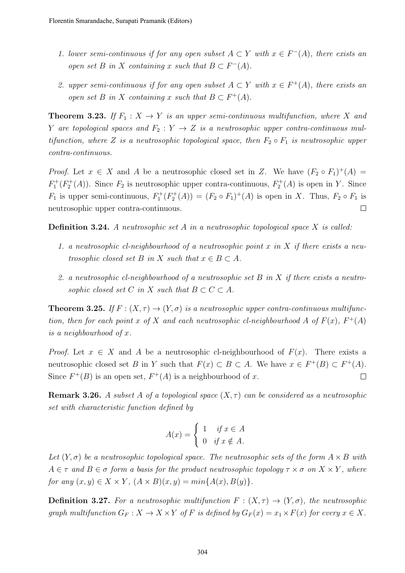- 1. lower semi-continuous if for any open subset  $A \subset Y$  with  $x \in F^{-}(A)$ , there exists an open set B in X containing x such that  $B \subset F^{-}(A)$ .
- 2. upper semi-continuous if for any open subset  $A \subset Y$  with  $x \in F^+(A)$ , there exists an open set B in X containing x such that  $B \subset F^+(A)$ .

**Theorem 3.23.** If  $F_1: X \to Y$  is an upper semi-continuous multifunction, where X and Y are topological spaces and  $F_2: Y \to Z$  is a neutrosophic upper contra-continuous multifunction, where Z is a neutrosophic topological space, then  $F_2 \circ F_1$  is neutrosophic upper contra-continuous.

*Proof.* Let  $x \in X$  and A be a neutrosophic closed set in Z. We have  $(F_2 \circ F_1)^+(A)$  $F_1^+(F_2^+(A))$ . Since  $F_2$  is neutrosophic upper contra-continuous,  $F_2^+(A)$  is open in Y. Since  $F_1$  is upper semi-continuous,  $F_1^+(F_2^+(A)) = (F_2 \circ F_1)^+(A)$  is open in X. Thus,  $F_2 \circ F_1$  is neutrosophic upper contra-continuous.  $\Box$ 

Definition 3.24. A neutrosophic set A in a neutrosophic topological space X is called:

- 1. a neutrosophic cl-neighbourhood of a neutrosophic point x in X if there exists a neutrosophic closed set B in X such that  $x \in B \subset A$ .
- 2. a neutrosophic cl-neighbourhood of a neutrosophic set B in X if there exists a neutrosophic closed set C in X such that  $B \subset C \subset A$ .

**Theorem 3.25.** If  $F : (X, \tau) \to (Y, \sigma)$  is a neutrosophic upper contra-continuous multifunction, then for each point x of X and each neutrosophic cl-neighbourhood A of  $F(x)$ ,  $F^+(A)$ is a neighbourhood of x.

*Proof.* Let  $x \in X$  and A be a neutrosophic cl-neighbourhood of  $F(x)$ . There exists a neutrosophic closed set B in Y such that  $F(x) \subset B \subset A$ . We have  $x \in F^+(B) \subset F^+(A)$ . Since  $F^+(B)$  is an open set,  $F^+(A)$  is a neighbourhood of x.  $\Box$ 

**Remark 3.26.** A subset A of a topological space  $(X, \tau)$  can be considered as a neutrosophic set with characteristic function defined by

$$
A(x) = \begin{cases} 1 & \text{if } x \in A \\ 0 & \text{if } x \notin A. \end{cases}
$$

Let  $(Y, \sigma)$  be a neutrosophic topological space. The neutrosophic sets of the form  $A \times B$  with  $A \in \tau$  and  $B \in \sigma$  form a basis for the product neutrosophic topology  $\tau \times \sigma$  on  $X \times Y$ , where for any  $(x, y) \in X \times Y$ ,  $(A \times B)(x, y) = min\{A(x), B(y)\}.$ 

**Definition 3.27.** For a neutrosophic multifunction  $F : (X, \tau) \to (Y, \sigma)$ , the neutrosophic graph multifunction  $G_F: X \to X \times Y$  of F is defined by  $G_F(x) = x_1 \times F(x)$  for every  $x \in X$ .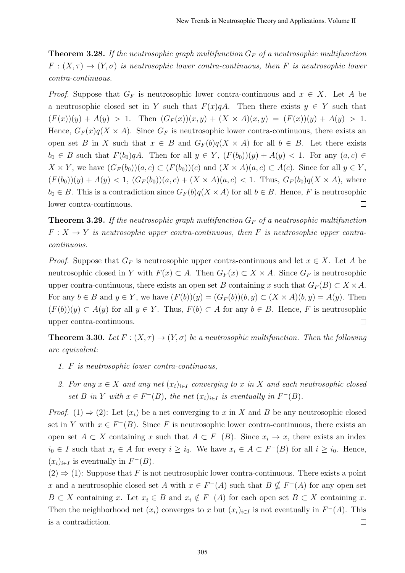**Theorem 3.28.** If the neutrosophic graph multifunction  $G_F$  of a neutrosophic multifunction  $F:(X,\tau) \to (Y,\sigma)$  is neutrosophic lower contra-continuous, then F is neutrosophic lower contra-continuous.

*Proof.* Suppose that  $G_F$  is neutrosophic lower contra-continuous and  $x \in X$ . Let A be a neutrosophic closed set in Y such that  $F(x)qA$ . Then there exists  $y \in Y$  such that  $(F(x))(y) + A(y) > 1$ . Then  $(G_F(x))(x, y) + (X \times A)(x, y) = (F(x))(y) + A(y) > 1$ . Hence,  $G_F(x)q(X \times A)$ . Since  $G_F$  is neutrosophic lower contra-continuous, there exists an open set B in X such that  $x \in B$  and  $G_F(b)q(X \times A)$  for all  $b \in B$ . Let there exists  $b_0 \in B$  such that  $F(b_0)qA$ . Then for all  $y \in Y$ ,  $(F(b_0))(y) + A(y) < 1$ . For any  $(a, c) \in$  $X \times Y$ , we have  $(G_F(b_0))(a, c) \subset (F(b_0))(c)$  and  $(X \times A)(a, c) \subset A(c)$ . Since for all  $y \in Y$ ,  $(F(b_0))(y) + A(y) < 1, (G_F(b_0))(a, c) + (X \times A)(a, c) < 1.$  Thus,  $G_F(b_0)q(X \times A)$ , where  $b_0 \in B$ . This is a contradiction since  $G_F(b)q(X \times A)$  for all  $b \in B$ . Hence, F is neutrosophic lower contra-continuous.  $\Box$ 

**Theorem 3.29.** If the neutrosophic graph multifunction  $G_F$  of a neutrosophic multifunction  $F: X \to Y$  is neutrosophic upper contra-continuous, then F is neutrosophic upper contracontinuous.

*Proof.* Suppose that  $G_F$  is neutrosophic upper contra-continuous and let  $x \in X$ . Let A be neutrosophic closed in Y with  $F(x) \subset A$ . Then  $G_F(x) \subset X \times A$ . Since  $G_F$  is neutrosophic upper contra-continuous, there exists an open set B containing x such that  $G_F(B) \subset X \times A$ . For any  $b \in B$  and  $y \in Y$ , we have  $(F(b))(y) = (G_F(b))(b, y) \subset (X \times A)(b, y) = A(y)$ . Then  $(F(b))(y) \subset A(y)$  for all  $y \in Y$ . Thus,  $F(b) \subset A$  for any  $b \in B$ . Hence, F is neutrosophic  $\Box$ upper contra-continuous.

**Theorem 3.30.** Let  $F: (X, \tau) \to (Y, \sigma)$  be a neutrosophic multifunction. Then the following are equivalent:

- 1. F is neutrosophic lower contra-continuous,
- 2. For any  $x \in X$  and any net  $(x_i)_{i \in I}$  converging to x in X and each neutrosophic closed set B in Y with  $x \in F^{-}(B)$ , the net  $(x_i)_{i \in I}$  is eventually in  $F^{-}(B)$ .

*Proof.* (1)  $\Rightarrow$  (2): Let  $(x_i)$  be a net converging to x in X and B be any neutrosophic closed set in Y with  $x \in F^{-}(B)$ . Since F is neutrosophic lower contra-continuous, there exists an open set  $A \subset X$  containing x such that  $A \subset F^{-1}(B)$ . Since  $x_i \to x$ , there exists an index  $i_0 \in I$  such that  $x_i \in A$  for every  $i \geq i_0$ . We have  $x_i \in A \subset F^{-1}(B)$  for all  $i \geq i_0$ . Hence,  $(x_i)_{i\in I}$  is eventually in  $F^-(B)$ .

 $(2) \Rightarrow (1)$ : Suppose that F is not neutrosophic lower contra-continuous. There exists a point x and a neutrosophic closed set A with  $x \in F^{-}(A)$  such that  $B \nsubseteq F^{-}(A)$  for any open set  $B \subset X$  containing x. Let  $x_i \in B$  and  $x_i \notin F^{-}(A)$  for each open set  $B \subset X$  containing x. Then the neighborhood net  $(x_i)$  converges to x but  $(x_i)_{i\in I}$  is not eventually in  $F^{-}(A)$ . This is a contradiction.  $\Box$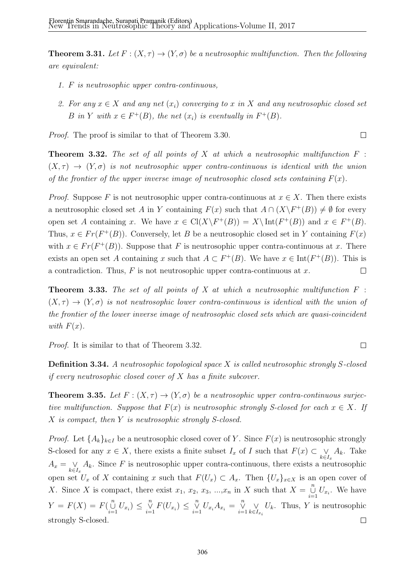**Theorem 3.31.** Let  $F: (X, \tau) \to (Y, \sigma)$  be a neutrosophic multifunction. Then the following are equivalent:

- 1. F is neutrosophic upper contra-continuous,
- 2. For any  $x \in X$  and any net  $(x_i)$  converging to x in X and any neutrosophic closed set B in Y with  $x \in F^+(B)$ , the net  $(x_i)$  is eventually in  $F^+(B)$ .

 $\Box$ 

 $\Box$ 

Proof. The proof is similar to that of Theorem 3.30.

**Theorem 3.32.** The set of all points of X at which a neutrosophic multifunction  $F$ :  $(X, \tau) \rightarrow (Y, \sigma)$  is not neutrosophic upper contra-continuous is identical with the union of the frontier of the upper inverse image of neutrosophic closed sets containing  $F(x)$ .

*Proof.* Suppose F is not neutrosophic upper contra-continuous at  $x \in X$ . Then there exists a neutrosophic closed set A in Y containing  $F(x)$  such that  $A \cap (X \backslash F^+(B)) \neq \emptyset$  for every open set A containing x. We have  $x \in \text{Cl}(X \backslash F^+(B)) = X \backslash \text{Int}(F^+(B))$  and  $x \in F^+(B)$ . Thus,  $x \in Fr(F^+(B))$ . Conversely, let B be a neutrosophic closed set in Y containing  $F(x)$ with  $x \in Fr(F^+(B))$ . Suppose that F is neutrosophic upper contra-continuous at x. There exists an open set A containing x such that  $A \subset F^+(B)$ . We have  $x \in \text{Int}(F^+(B))$ . This is a contradiction. Thus,  $F$  is not neutrosophic upper contra-continuous at  $x$ .  $\Box$ 

**Theorem 3.33.** The set of all points of X at which a neutrosophic multifunction  $F$ :  $(X, \tau) \to (Y, \sigma)$  is not neutrosophic lower contra-continuous is identical with the union of the frontier of the lower inverse image of neutrosophic closed sets which are quasi-coincident with  $F(x)$ .

Proof. It is similar to that of Theorem 3.32.

Definition 3.34. A neutrosophic topological space X is called neutrosophic strongly S-closed if every neutrosophic closed cover of X has a finite subcover.

**Theorem 3.35.** Let  $F : (X, \tau) \to (Y, \sigma)$  be a neutrosophic upper contra-continuous surjective multifunction. Suppose that  $F(x)$  is neutrosophic strongly S-closed for each  $x \in X$ . If X is compact, then Y is neutrosophic strongly S-closed.

*Proof.* Let  $\{A_k\}_{k\in I}$  be a neutrosophic closed cover of Y. Since  $F(x)$  is neutrosophic strongly S-closed for any  $x \in X$ , there exists a finite subset  $I_x$  of I such that  $F(x) \subset \bigvee_{k \in I_x} A_k$ . Take  $A_x = \bigvee_{k \in I_x} A_k$ . Since F is neutrosophic upper contra-continuous, there exists a neutrosophic open set  $U_x$  of X containing x such that  $F(U_x) \subset A_x$ . Then  $\{U_x\}_{x \in X}$  is an open cover of X. Since X is compact, there exist  $x_1, x_2, x_3, ..., x_n$  in X such that  $X = \bigcup_{i=1}^n U_{x_i}$ . We have  $Y = F(X) = F(\bigcup_{i=1}^{n} U_{x_i}) \leq \bigvee_{i=1}^{n} F(U_{x_i}) \leq \bigvee_{i=1}^{n} U_{x_i} A_{x_i} = \bigvee_{i=1}^{n} \bigvee_{k \in I}$  $U_k$ . Thus, Y is neutrosophic  $k \in I_{x_i}$ strongly S-closed.  $\Box$